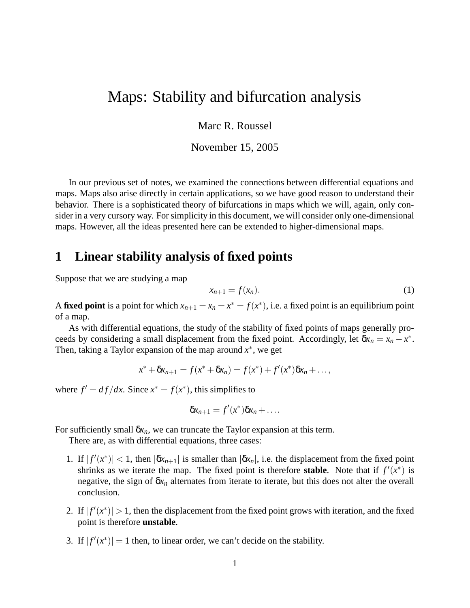# Maps: Stability and bifurcation analysis

Marc R. Roussel

November 15, 2005

In our previous set of notes, we examined the connections between differential equations and maps. Maps also arise directly in certain applications, so we have good reason to understand their behavior. There is a sophisticated theory of bifurcations in maps which we will, again, only consider in a very cursory way. For simplicity in this document, we will consider only one-dimensional maps. However, all the ideas presented here can be extended to higher-dimensional maps.

#### **1 Linear stability analysis of fixed points**

Suppose that we are studying a map

$$
x_{n+1} = f(x_n). \tag{1}
$$

A **fixed point** is a point for which  $x_{n+1} = x_n = x^* = f(x^*)$ , i.e. a fixed point is an equilibrium point of a map.

As with differential equations, the study of the stability of fixed points of maps generally proceeds by considering a small displacement from the fixed point. Accordingly, let  $\delta x_n = x_n - x^*$ . Then, taking a Taylor expansion of the map around *x* ∗ , we get

$$
x^* + \delta x_{n+1} = f(x^* + \delta x_n) = f(x^*) + f'(x^*)\delta x_n + \dots,
$$

where  $f' = df/dx$ . Since  $x^* = f(x^*)$ , this simplifies to

$$
\delta x_{n+1}=f'(x^*)\delta x_n+\ldots.
$$

For sufficiently small  $\delta x_n$ , we can truncate the Taylor expansion at this term.

There are, as with differential equations, three cases:

- 1. If  $|f'(x^*)| < 1$ , then  $|\delta x_{n+1}|$  is smaller than  $|\delta x_n|$ , i.e. the displacement from the fixed point shrinks as we iterate the map. The fixed point is therefore **stable**. Note that if  $f'(x^*)$  is negative, the sign of  $\delta x_n$  alternates from iterate to iterate, but this does not alter the overall conclusion.
- 2. If  $|f'(x^*)| > 1$ , then the displacement from the fixed point grows with iteration, and the fixed point is therefore **unstable**.
- 3. If  $|f'(x^*)| = 1$  then, to linear order, we can't decide on the stability.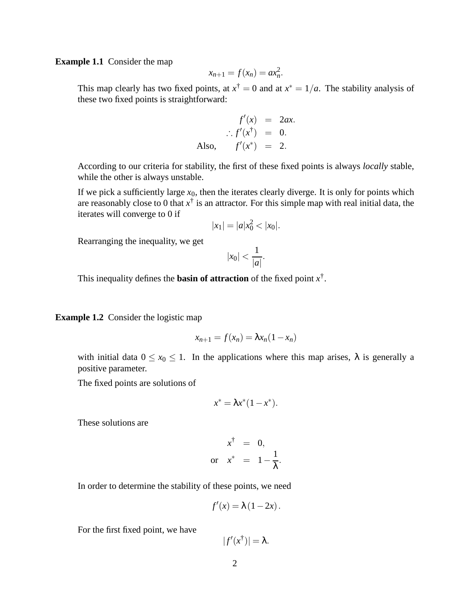**Example 1.1** Consider the map

$$
x_{n+1} = f(x_n) = ax_n^2.
$$

This map clearly has two fixed points, at  $x^{\dagger} = 0$  and at  $x^* = 1/a$ . The stability analysis of these two fixed points is straightforward:

$$
f'(x) = 2ax.
$$
  

$$
\therefore f'(x^{\dagger}) = 0.
$$
  
Also, 
$$
f'(x^*) = 2.
$$

According to our criteria for stability, the first of these fixed points is always *locally* stable, while the other is always unstable.

If we pick a sufficiently large  $x_0$ , then the iterates clearly diverge. It is only for points which are reasonably close to 0 that  $x^{\dagger}$  is an attractor. For this simple map with real initial data, the iterates will converge to 0 if

$$
|x_1| = |a|x_0^2 < |x_0|.
$$

Rearranging the inequality, we get

$$
|x_0| < \frac{1}{|a|}.
$$

This inequality defines the **basin of attraction** of the fixed point  $x^{\dagger}$ .

**Example 1.2** Consider the logistic map

$$
x_{n+1} = f(x_n) = \lambda x_n (1 - x_n)
$$

with initial data  $0 \le x_0 \le 1$ . In the applications where this map arises,  $\lambda$  is generally a positive parameter.

The fixed points are solutions of

$$
x^* = \lambda x^*(1 - x^*).
$$

These solutions are

$$
x^{\dagger} = 0,
$$
  
or 
$$
x^* = 1 - \frac{1}{\lambda}.
$$

In order to determine the stability of these points, we need

$$
f'(x) = \lambda (1 - 2x).
$$

For the first fixed point, we have

$$
|f'(x^{\dagger})|=\lambda.
$$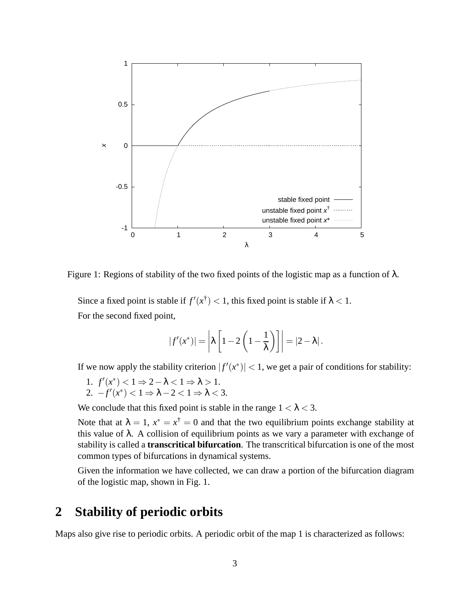

Figure 1: Regions of stability of the two fixed points of the logistic map as a function of  $\lambda$ .

Since a fixed point is stable if  $f'(x^{\dagger}) < 1$ , this fixed point is stable if  $\lambda < 1$ . For the second fixed point,

$$
|f'(x^*)| = \left|\lambda \left[1 - 2\left(1 - \frac{1}{\lambda}\right)\right]\right| = |2 - \lambda|.
$$

If we now apply the stability criterion  $|f'(x^*)| < 1$ , we get a pair of conditions for stability:

1.  $f'(x^*) < 1 \Rightarrow 2 - \lambda < 1 \Rightarrow \lambda > 1$ . 2.  $-f'(x^*) < 1 \Rightarrow \lambda - 2 < 1 \Rightarrow \lambda < 3$ .

We conclude that this fixed point is stable in the range  $1 < \lambda < 3$ .

Note that at  $\lambda = 1$ ,  $x^* = x^{\dagger} = 0$  and that the two equilibrium points exchange stability at this value of  $\lambda$ . A collision of equilibrium points as we vary a parameter with exchange of stability is called a **transcritical bifurcation**. The transcritical bifurcation is one of the most common types of bifurcations in dynamical systems.

Given the information we have collected, we can draw a portion of the bifurcation diagram of the logistic map, shown in Fig. 1.

### **2 Stability of periodic orbits**

Maps also give rise to periodic orbits. A periodic orbit of the map 1 is characterized as follows: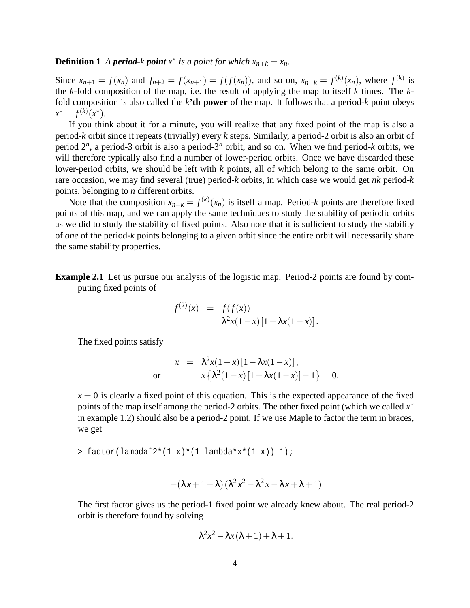#### **Definition 1** *A period-k point*  $x^*$  *is a point for which*  $x_{n+k} = x_n$ .

Since  $x_{n+1} = f(x_n)$  and  $f_{n+2} = f(x_{n+1}) = f(f(x_n))$ , and so on,  $x_{n+k} = f^{(k)}(x_n)$ , where  $f^{(k)}$  is the *k*-fold composition of the map, i.e. the result of applying the map to itself *k* times. The *k*fold composition is also called the *k***'th power** of the map. It follows that a period-*k* point obeys  $x^* = f^{(k)}(x^*).$ 

If you think about it for a minute, you will realize that any fixed point of the map is also a period-*k* orbit since it repeats (trivially) every *k* steps. Similarly, a period-2 orbit is also an orbit of period 2 *n* , a period-3 orbit is also a period-3*<sup>n</sup>* orbit, and so on. When we find period-*k* orbits, we will therefore typically also find a number of lower-period orbits. Once we have discarded these lower-period orbits, we should be left with *k* points, all of which belong to the same orbit. On rare occasion, we may find several (true) period-*k* orbits, in which case we would get *nk* period-*k* points, belonging to *n* different orbits.

Note that the composition  $x_{n+k} = f^{(k)}(x_n)$  is itself a map. Period-*k* points are therefore fixed points of this map, and we can apply the same techniques to study the stability of periodic orbits as we did to study the stability of fixed points. Also note that it is sufficient to study the stability of *one* of the period-*k* points belonging to a given orbit since the entire orbit will necessarily share the same stability properties.

**Example 2.1** Let us pursue our analysis of the logistic map. Period-2 points are found by computing fixed points of

$$
f^{(2)}(x) = f(f(x))
$$
  
=  $\lambda^2 x (1-x) [1 - \lambda x (1-x)].$ 

The fixed points satisfy

$$
x = \lambda^2 x (1-x) [1 - \lambda x (1-x)],
$$
  
or 
$$
x \{\lambda^2 (1-x) [1 - \lambda x (1-x)] - 1\} = 0.
$$

 $x = 0$  is clearly a fixed point of this equation. This is the expected appearance of the fixed points of the map itself among the period-2 orbits. The other fixed point (which we called *x* ∗ in example 1.2) should also be a period-2 point. If we use Maple to factor the term in braces, we get

> factor(lambdaˆ2\*(1-x)\*(1-lambda\*x\*(1-x))-1);

$$
-(\lambda x+1-\lambda)\left(\lambda^2 x^2-\lambda^2 x-\lambda x+\lambda+1\right)
$$

The first factor gives us the period-1 fixed point we already knew about. The real period-2 orbit is therefore found by solving

$$
\lambda^2 x^2 - \lambda x (\lambda + 1) + \lambda + 1.
$$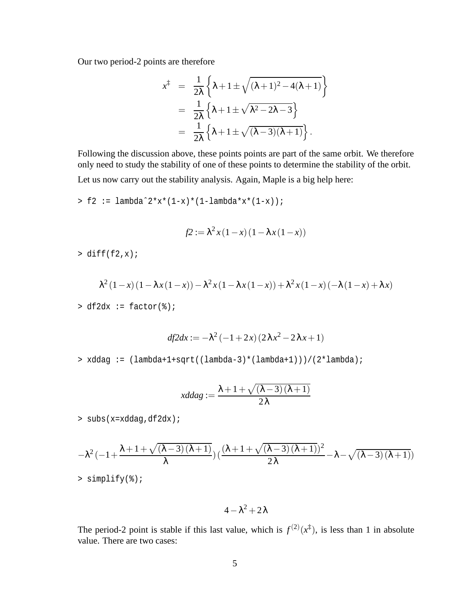Our two period-2 points are therefore

$$
x^{\ddagger} = \frac{1}{2\lambda} \left\{ \lambda + 1 \pm \sqrt{(\lambda + 1)^2 - 4(\lambda + 1)} \right\}
$$
  
= 
$$
\frac{1}{2\lambda} \left\{ \lambda + 1 \pm \sqrt{\lambda^2 - 2\lambda - 3} \right\}
$$
  
= 
$$
\frac{1}{2\lambda} \left\{ \lambda + 1 \pm \sqrt{(\lambda - 3)(\lambda + 1)} \right\}.
$$

Following the discussion above, these points points are part of the same orbit. We therefore only need to study the stability of one of these points to determine the stability of the orbit. Let us now carry out the stability analysis. Again, Maple is a big help here:

 $> f2 :=$  lambda^2\*x\*(1-x)\*(1-lambda\*x\*(1-x));

$$
f2 := \lambda^2 x (1-x) (1-\lambda x (1-x))
$$

 $>$  diff(f2,x);

$$
\lambda^{2} (1-x) (1 - \lambda x (1-x)) - \lambda^{2} x (1 - \lambda x (1-x)) + \lambda^{2} x (1-x) (-\lambda (1-x) + \lambda x)
$$

 $> df2dx := factor(*)$ ;

$$
df2dx := -\lambda^2 (-1 + 2x) (2\lambda x^2 - 2\lambda x + 1)
$$

> xddag := (lambda+1+sqrt((lambda-3)\*(lambda+1)))/(2\*lambda);

$$
xddag := \frac{\lambda + 1 + \sqrt{(\lambda - 3)(\lambda + 1)}}{2\lambda}
$$

> subs(x=xddag,df2dx);

$$
-\lambda^2 \left(-1+\frac{\lambda+1+\sqrt{(\lambda-3)(\lambda+1)}}{\lambda}\right) \left(\frac{(\lambda+1+\sqrt{(\lambda-3)(\lambda+1)})^2}{2\lambda} - \lambda - \sqrt{(\lambda-3)(\lambda+1)}\right)
$$
  
> simplify(\*)

 $4 - \lambda^2 + 2\lambda$ 

The period-2 point is stable if this last value, which is  $f^{(2)}(x^{\ddagger})$ , is less than 1 in absolute value. There are two cases: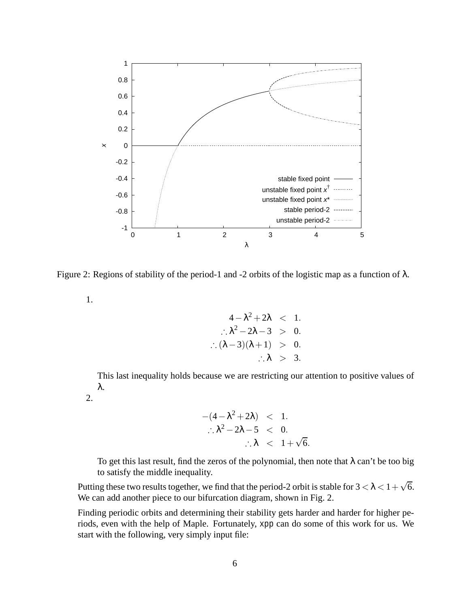

Figure 2: Regions of stability of the period-1 and -2 orbits of the logistic map as a function of  $\lambda$ .

1.

$$
4 - \lambda^2 + 2\lambda < 1.
$$
\n
$$
\therefore \lambda^2 - 2\lambda - 3 > 0.
$$
\n
$$
\therefore (\lambda - 3)(\lambda + 1) > 0.
$$
\n
$$
\therefore \lambda > 3.
$$

This last inequality holds because we are restricting our attention to positive values of λ.

2.

$$
-(4 - \lambda^2 + 2\lambda) < 1.
$$
  

$$
\therefore \lambda^2 - 2\lambda - 5 < 0.
$$
  

$$
\therefore \lambda < 1 + \sqrt{6}.
$$

To get this last result, find the zeros of the polynomial, then note that  $\lambda$  can't be too big to satisfy the middle inequality.

Putting these two results together, we find that the period-2 orbit is stable for  $3 < \lambda < 1 + \sqrt{6}$ . We can add another piece to our bifurcation diagram, shown in Fig. 2.

Finding periodic orbits and determining their stability gets harder and harder for higher periods, even with the help of Maple. Fortunately, xpp can do some of this work for us. We start with the following, very simply input file: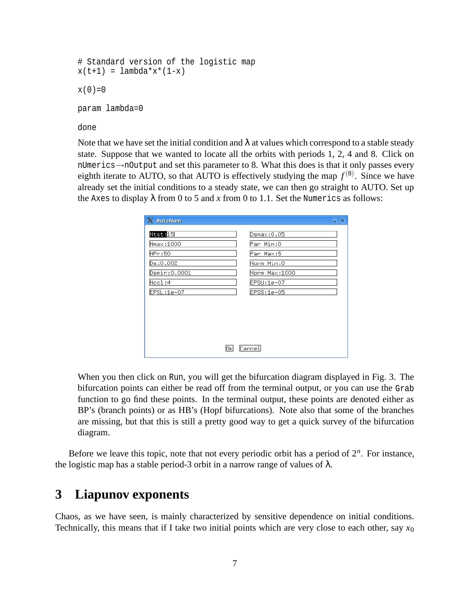```
# Standard version of the logistic map
x(t+1) = lambda * x*(1-x)x(0)=0param lambda=0
done
```
Note that we have set the initial condition and  $\lambda$  at values which correspond to a stable steady state. Suppose that we wanted to locate all the orbits with periods 1, 2, 4 and 8. Click on nUmerics→nOutput and set this parameter to 8. What this does is that it only passes every eighth iterate to AUTO, so that AUTO is effectively studying the map  $f^{(8)}$ . Since we have already set the initial conditions to a steady state, we can then go straight to AUTO. Set up the Axes to display  $\lambda$  from 0 to 5 and *x* from 0 to 1.1. Set the Numerics as follows:

| X AutoNum     |               | $ \times$ |
|---------------|---------------|-----------|
| Ntst:15       | Dsmax:0.05    |           |
| Nmax: 1000    | Par Min:0     |           |
| NPr:50        | Par Max:5     |           |
| Ds:0.002      | Norm Min:0    |           |
| Dsmin: 0.0001 | Norm Max:1000 |           |
| Ncol:4        | EPSU:1e-07    |           |
| $EPSL:1e-07$  | EPSS:1e-05    |           |
|               |               |           |
|               |               |           |
|               | Cancel<br>ΟkΙ |           |

When you then click on Run, you will get the bifurcation diagram displayed in Fig. 3. The bifurcation points can either be read off from the terminal output, or you can use the Grab function to go find these points. In the terminal output, these points are denoted either as BP's (branch points) or as HB's (Hopf bifurcations). Note also that some of the branches are missing, but that this is still a pretty good way to get a quick survey of the bifurcation diagram.

Before we leave this topic, note that not every periodic orbit has a period of  $2^n$ . For instance, the logistic map has a stable period-3 orbit in a narrow range of values of  $\lambda$ .

## **3 Liapunov exponents**

Chaos, as we have seen, is mainly characterized by sensitive dependence on initial conditions. Technically, this means that if I take two initial points which are very close to each other, say  $x_0$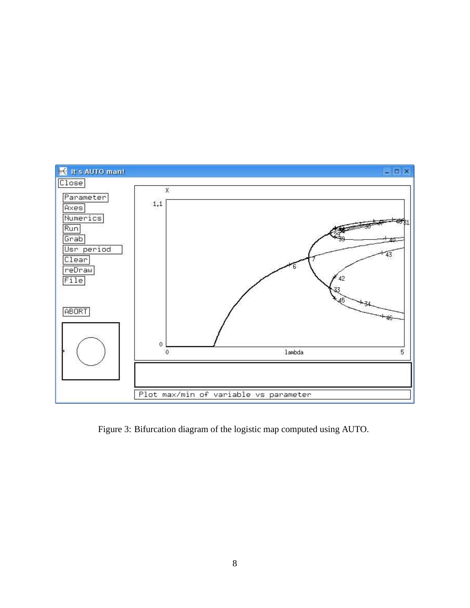

Figure 3: Bifurcation diagram of the logistic map computed using AUTO.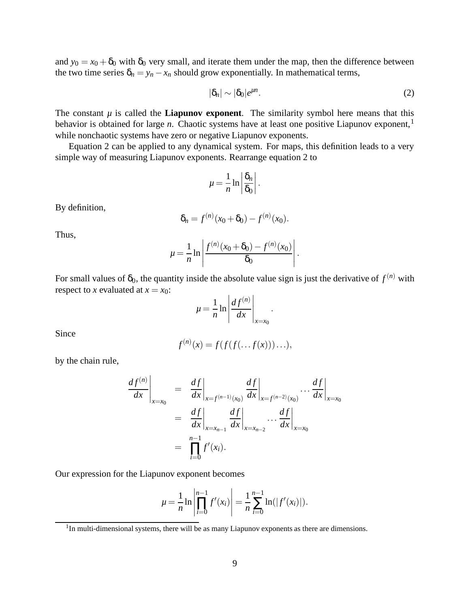and  $y_0 = x_0 + \delta_0$  with  $\delta_0$  very small, and iterate them under the map, then the difference between the two time series  $\delta_n = y_n - x_n$  should grow exponentially. In mathematical terms,

$$
|\delta_n| \sim |\delta_0| e^{\mu n}.\tag{2}
$$

The constant  $\mu$  is called the **Liapunov exponent**. The similarity symbol here means that this behavior is obtained for large *n*. Chaotic systems have at least one positive Liapunov exponent,<sup>1</sup> while nonchaotic systems have zero or negative Liapunov exponents.

Equation 2 can be applied to any dynamical system. For maps, this definition leads to a very simple way of measuring Liapunov exponents. Rearrange equation 2 to

$$
\mu = \frac{1}{n} \ln \left| \frac{\delta_n}{\delta_0} \right|.
$$

By definition,

$$
\delta_n = f^{(n)}(x_0 + \delta_0) - f^{(n)}(x_0).
$$

Thus,

$$
\mu = \frac{1}{n} \ln \left| \frac{f^{(n)}(x_0 + \delta_0) - f^{(n)}(x_0)}{\delta_0} \right|.
$$

For small values of  $\delta_0$ , the quantity inside the absolute value sign is just the derivative of  $f^{(n)}$  with respect to *x* evaluated at  $x = x_0$ :  $\overline{1}$ 

$$
\mu = \frac{1}{n} \ln \left| \frac{df^{(n)}}{dx} \right|_{x=x_0}.
$$

Since

$$
f^{(n)}(x) = f(f(f(\ldots f(x)))\ldots),
$$

by the chain rule,

$$
\frac{df^{(n)}}{dx}\Big|_{x=x_0} = \frac{df}{dx}\Big|_{x=f^{(n-1)}(x_0)} \frac{df}{dx}\Big|_{x=f^{(n-2)}(x_0)} \cdots \frac{df}{dx}\Big|_{x=x_0}
$$
  
\n
$$
= \frac{df}{dx}\Big|_{x=x_{n-1}} \frac{df}{dx}\Big|_{x=x_{n-2}} \cdots \frac{df}{dx}\Big|_{x=x_0}
$$
  
\n
$$
= \prod_{i=0}^{n-1} f'(x_i).
$$

Our expression for the Liapunov exponent becomes

$$
\mu = \frac{1}{n} \ln \left| \prod_{i=0}^{n-1} f'(x_i) \right| = \frac{1}{n} \sum_{i=0}^{n-1} \ln(|f'(x_i)|).
$$

<sup>&</sup>lt;sup>1</sup>In multi-dimensional systems, there will be as many Liapunov exponents as there are dimensions.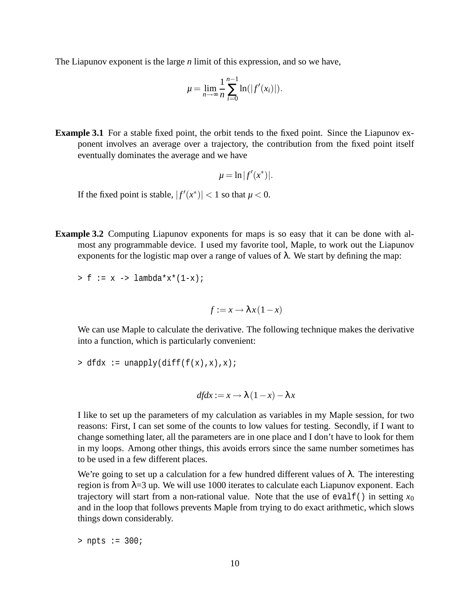The Liapunov exponent is the large *n* limit of this expression, and so we have,

$$
\mu = \lim_{n \to \infty} \frac{1}{n} \sum_{i=0}^{n-1} \ln(|f'(x_i)|).
$$

**Example** 3.1 For a stable fixed point, the orbit tends to the fixed point. Since the Liapunov exponent involves an average over a trajectory, the contribution from the fixed point itself eventually dominates the average and we have

$$
\mu = \ln |f'(x^*)|.
$$

If the fixed point is stable,  $|f'(x^*)| < 1$  so that  $\mu < 0$ .

**Example 3.2** Computing Liapunov exponents for maps is so easy that it can be done with almost any programmable device. I used my favorite tool, Maple, to work out the Liapunov exponents for the logistic map over a range of values of  $\lambda$ . We start by defining the map:

 $> f := x \rightarrow \text{lambda*}x*(1-x);$ 

 $f := x \rightarrow \lambda x (1-x)$ 

We can use Maple to calculate the derivative. The following technique makes the derivative into a function, which is particularly convenient:

```
> dfdx := unapply(diff(f(x),x),x);
```

$$
df dx := x \to \lambda (1 - x) - \lambda x
$$

I like to set up the parameters of my calculation as variables in my Maple session, for two reasons: First, I can set some of the counts to low values for testing. Secondly, if I want to change something later, all the parameters are in one place and I don't have to look for them in my loops. Among other things, this avoids errors since the same number sometimes has to be used in a few different places.

We're going to set up a calculation for a few hundred different values of  $\lambda$ . The interesting region is from  $\lambda = 3$  up. We will use 1000 iterates to calculate each Liapunov exponent. Each trajectory will start from a non-rational value. Note that the use of evalf() in setting  $x_0$ and in the loop that follows prevents Maple from trying to do exact arithmetic, which slows things down considerably.

> npts := 300;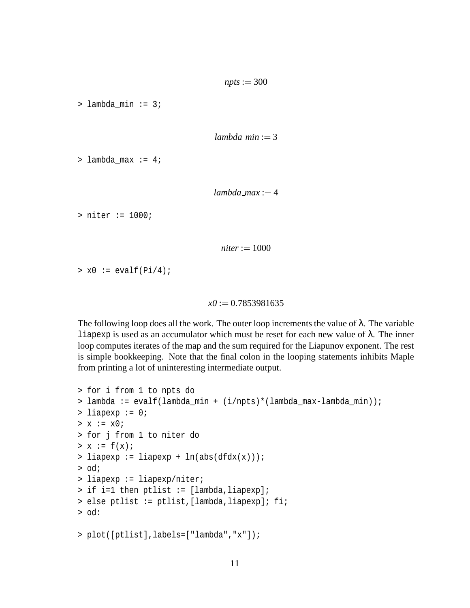> lambda\_min := 3;

 $lambda_m$ *in* := 3

> lambda\_max := 4;

```
lambda max := 4
```
> niter := 1000;

 $niter := 1000$ 

 $> x0 := evalf(Pi/4);$ 

```
x0 := 0.7853981635
```
The following loop does all the work. The outer loop increments the value of  $\lambda$ . The variable liapexp is used as an accumulator which must be reset for each new value of  $λ$ . The inner loop computes iterates of the map and the sum required for the Liapunov exponent. The rest is simple bookkeeping. Note that the final colon in the looping statements inhibits Maple from printing a lot of uninteresting intermediate output.

```
> for i from 1 to npts do
> lambda := evalf(lambda_min + (i/npts)*(lambda_max-lambda_min));
> liapexp := 0;
> x := x0;> for j from 1 to niter do
> x := f(x);> liapexp := liapexp + ln(abs(dfdx(x)));
> od;
> liapexp := liapexp/niter;
> if i=1 then ptlist := [lambda, liapexp];
> else ptlist := ptlist,[lambda,liapexp]; fi;
> od:
> plot([ptlist],labels=["lambda","x"]);
```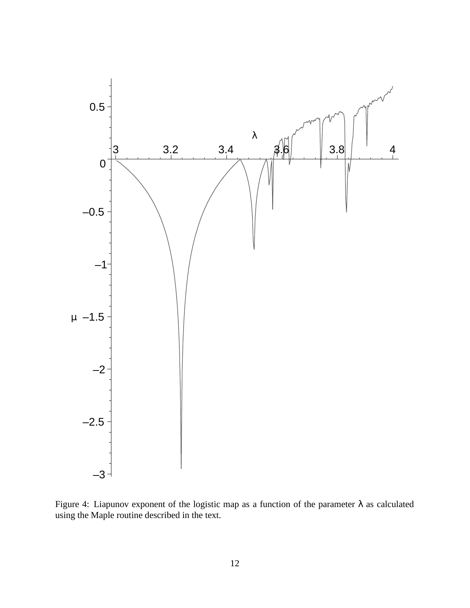

Figure 4: Liapunov exponent of the logistic map as a function of the parameter  $\lambda$  as calculated using the Maple routine described in the text.